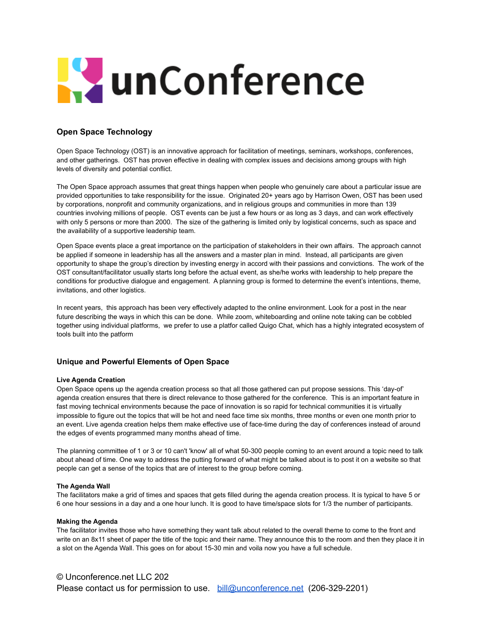# **L'anConference**

# **Open Space Technology**

Open Space Technology (OST) is an innovative approach for facilitation of meetings, seminars, workshops, conferences, and other gatherings. OST has proven effective in dealing with complex issues and decisions among groups with high levels of diversity and potential conflict.

The Open Space approach assumes that great things happen when people who genuinely care about a particular issue are provided opportunities to take responsibility for the issue. Originated 20+ years ago by Harrison Owen, OST has been used by corporations, nonprofit and community organizations, and in religious groups and communities in more than 139 countries involving millions of people. OST events can be just a few hours or as long as 3 days, and can work effectively with only 5 persons or more than 2000. The size of the gathering is limited only by logistical concerns, such as space and the availability of a supportive leadership team.

Open Space events place a great importance on the participation of stakeholders in their own affairs. The approach cannot be applied if someone in leadership has all the answers and a master plan in mind. Instead, all participants are given opportunity to shape the group's direction by investing energy in accord with their passions and convictions. The work of the OST consultant/facilitator usually starts long before the actual event, as she/he works with leadership to help prepare the conditions for productive dialogue and engagement. A planning group is formed to determine the event's intentions, theme, invitations, and other logistics.

In recent years, this approach has been very effectively adapted to the online environment. Look for a post in the near future describing the ways in which this can be done. While zoom, whiteboarding and online note taking can be cobbled together using individual platforms, we prefer to use a platfor called Quigo Chat, which has a highly integrated ecosystem of tools built into the patform

# **Unique and Powerful Elements of Open Space**

#### **Live Agenda Creation**

Open Space opens up the agenda creation process so that all those gathered can put propose sessions. This 'day-of' agenda creation ensures that there is direct relevance to those gathered for the conference. This is an important feature in fast moving technical environments because the pace of innovation is so rapid for technical communities it is virtually impossible to figure out the topics that will be hot and need face time six months, three months or even one month prior to an event. Live agenda creation helps them make effective use of face-time during the day of conferences instead of around the edges of events programmed many months ahead of time.

The planning committee of 1 or 3 or 10 can't 'know' all of what 50-300 people coming to an event around a topic need to talk about ahead of time. One way to address the putting forward of what might be talked about is to post it on a website so that people can get a sense of the topics that are of interest to the group before coming.

#### **The Agenda Wall**

The facilitators make a grid of times and spaces that gets filled during the agenda creation process. It is typical to have 5 or 6 one hour sessions in a day and a one hour lunch. It is good to have time/space slots for 1/3 the number of participants.

#### **Making the Agenda**

The facilitator invites those who have something they want talk about related to the overall theme to come to the front and write on an 8x11 sheet of paper the title of the topic and their name. They announce this to the room and then they place it in a slot on the Agenda Wall. This goes on for about 15-30 min and voila now you have a full schedule.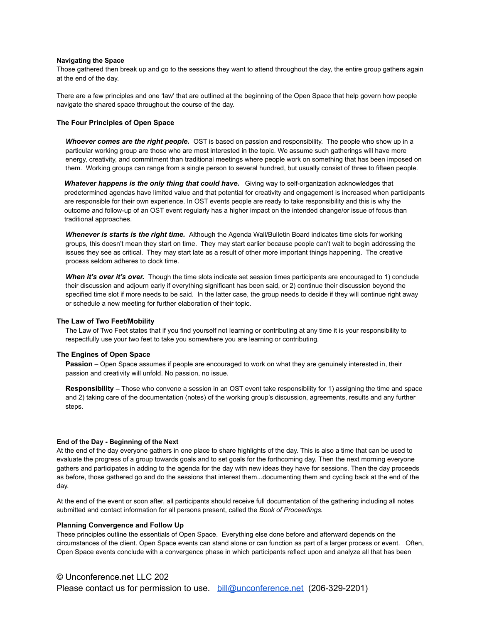#### **Navigating the Space**

Those gathered then break up and go to the sessions they want to attend throughout the day, the entire group gathers again at the end of the day.

There are a few principles and one 'law' that are outlined at the beginning of the Open Space that help govern how people navigate the shared space throughout the course of the day.

#### **The Four Principles of Open Space**

*Whoever comes are the right people.* OST is based on passion and responsibility. The people who show up in a particular working group are those who are most interested in the topic. We assume such gatherings will have more energy, creativity, and commitment than traditional meetings where people work on something that has been imposed on them. Working groups can range from a single person to several hundred, but usually consist of three to fifteen people.

*Whatever happens is the only thing that could have.* Giving way to self-organization acknowledges that predetermined agendas have limited value and that potential for creativity and engagement is increased when participants are responsible for their own experience. In OST events people are ready to take responsibility and this is why the outcome and follow-up of an OST event regularly has a higher impact on the intended change/or issue of focus than traditional approaches.

*Whenever is starts is the right time.* Although the Agenda Wall/Bulletin Board indicates time slots for working groups, this doesn't mean they start on time. They may start earlier because people can't wait to begin addressing the issues they see as critical. They may start late as a result of other more important things happening. The creative process seldom adheres to clock time.

*When it's over it's over.* Though the time slots indicate set session times participants are encouraged to 1) conclude their discussion and adjourn early if everything significant has been said, or 2) continue their discussion beyond the specified time slot if more needs to be said. In the latter case, the group needs to decide if they will continue right away or schedule a new meeting for further elaboration of their topic.

#### **The Law of Two Feet/Mobility**

The Law of Two Feet states that if you find yourself not learning or contributing at any time it is your responsibility to respectfully use your two feet to take you somewhere you are learning or contributing.

#### **The Engines of Open Space**

**Passion** – Open Space assumes if people are encouraged to work on what they are genuinely interested in, their passion and creativity will unfold. No passion, no issue.

**Responsibility –** Those who convene a session in an OST event take responsibility for 1) assigning the time and space and 2) taking care of the documentation (notes) of the working group's discussion, agreements, results and any further steps.

#### **End of the Day - Beginning of the Next**

At the end of the day everyone gathers in one place to share highlights of the day. This is also a time that can be used to evaluate the progress of a group towards goals and to set goals for the forthcoming day. Then the next morning everyone gathers and participates in adding to the agenda for the day with new ideas they have for sessions. Then the day proceeds as before, those gathered go and do the sessions that interest them...documenting them and cycling back at the end of the day.

At the end of the event or soon after, all participants should receive full documentation of the gathering including all notes submitted and contact information for all persons present, called the *Book of Proceedings.*

#### **Planning Convergence and Follow Up**

These principles outline the essentials of Open Space. Everything else done before and afterward depends on the circumstances of the client. Open Space events can stand alone or can function as part of a larger process or event. Often, Open Space events conclude with a convergence phase in which participants reflect upon and analyze all that has been